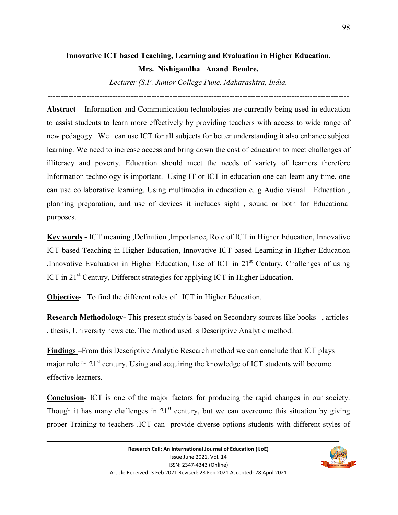# **Innovative ICT based Teaching, Learning and Evaluation in Higher Education.**

**Mrs. Nishigandha Anand Bendre.** 

*Lecturer (S.P. Junior College Pune, Maharashtra, India.* 

*--------------------------------------------------------------------------------------------------------------------* 

**Abstract** – Information and Communication technologies are currently being used in education to assist students to learn more effectively by providing teachers with access to wide range of new pedagogy. We can use ICT for all subjects for better understanding it also enhance subject learning. We need to increase access and bring down the cost of education to meet challenges of illiteracy and poverty. Education should meet the needs of variety of learners therefore Information technology is important. Using IT or ICT in education one can learn any time, one can use collaborative learning. Using multimedia in education e. g Audio visual Education , planning preparation, and use of devices it includes sight **,** sound or both for Educational purposes.

**Key words -** ICT meaning ,Definition ,Importance, Role of ICT in Higher Education, Innovative ICT based Teaching in Higher Education, Innovative ICT based Learning in Higher Education , Innovative Evaluation in Higher Education, Use of ICT in  $21<sup>st</sup>$  Century, Challenges of using ICT in 21<sup>st</sup> Century, Different strategies for applying ICT in Higher Education.

**Objective-** To find the different roles of ICT in Higher Education.

**Research Methodology-** This present study is based on Secondary sources like books , articles , thesis, University news etc. The method used is Descriptive Analytic method.

**Findings –**From this Descriptive Analytic Research method we can conclude that ICT plays major role in 21<sup>st</sup> century. Using and acquiring the knowledge of ICT students will become effective learners.

**Conclusion-** ICT is one of the major factors for producing the rapid changes in our society. Though it has many challenges in  $21<sup>st</sup>$  century, but we can overcome this situation by giving proper Training to teachers .ICT can provide diverse options students with different styles of

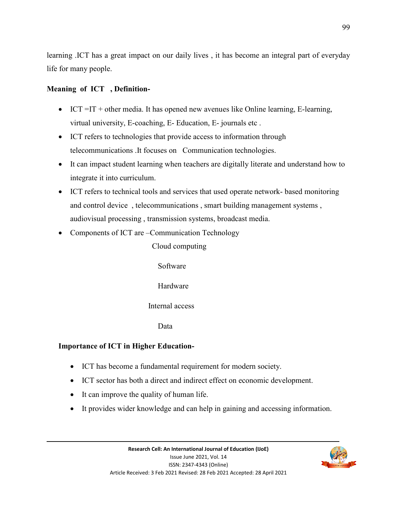learning .ICT has a great impact on our daily lives , it has become an integral part of everyday life for many people.

#### **Meaning of ICT , Definition-**

- $\bullet$  ICT =IT + other media. It has opened new avenues like Online learning, E-learning, virtual university, E-coaching, E- Education, E- journals etc .
- ICT refers to technologies that provide access to information through telecommunications .It focuses on Communication technologies.
- It can impact student learning when teachers are digitally literate and understand how to integrate it into curriculum.
- ICT refers to technical tools and services that used operate network- based monitoring and control device , telecommunications , smart building management systems , audiovisual processing , transmission systems, broadcast media.
- Components of ICT are –Communication Technology

Cloud computing

Software

Hardware

#### Internal access

Data

### **Importance of ICT in Higher Education-**

- ICT has become a fundamental requirement for modern society.
- ICT sector has both a direct and indirect effect on economic development.
- It can improve the quality of human life.
- It provides wider knowledge and can help in gaining and accessing information.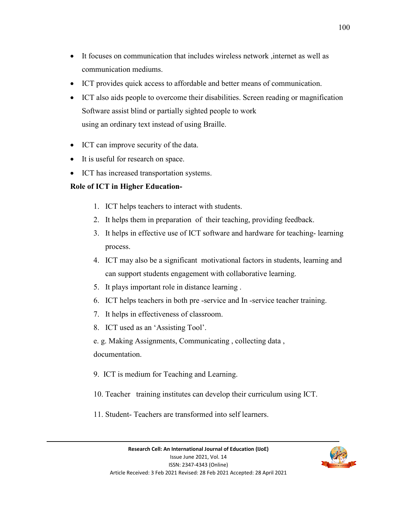- It focuses on communication that includes wireless network ,internet as well as communication mediums.
- ICT provides quick access to affordable and better means of communication.
- ICT also aids people to overcome their disabilities. Screen reading or magnification Software assist blind or partially sighted people to work using an ordinary text instead of using Braille.
- ICT can improve security of the data.
- It is useful for research on space.
- ICT has increased transportation systems.

#### **Role of ICT in Higher Education-**

- 1. ICT helps teachers to interact with students.
- 2. It helps them in preparation of their teaching, providing feedback.
- 3. It helps in effective use of ICT software and hardware for teaching- learning process.
- 4. ICT may also be a significant motivational factors in students, learning and can support students engagement with collaborative learning.
- 5. It plays important role in distance learning .
- 6. ICT helps teachers in both pre -service and In -service teacher training.
- 7. It helps in effectiveness of classroom.
- 8. ICT used as an 'Assisting Tool'.

e. g. Making Assignments, Communicating , collecting data , documentation.

- 9. ICT is medium for Teaching and Learning.
- 10. Teacher training institutes can develop their curriculum using ICT.
- 11. Student- Teachers are transformed into self learners.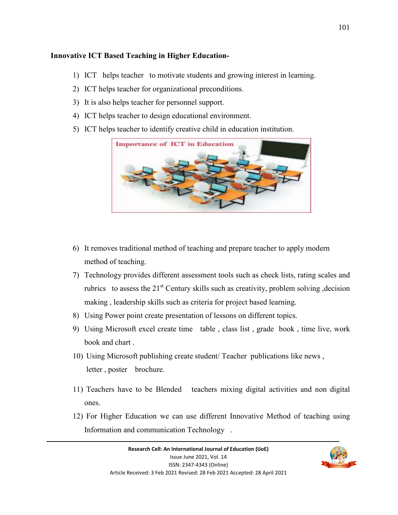#### **Innovative ICT Based Teaching in Higher Education-**

- 1) ICT helps teacher to motivate students and growing interest in learning.
- 2) ICT helps teacher for organizational preconditions.
- 3) It is also helps teacher for personnel support.
- 4) ICT helps teacher to design educational environment.
- 5) ICT helps teacher to identify creative child in education institution.



- 6) It removes traditional method of teaching and prepare teacher to apply modern method of teaching.
- 7) Technology provides different assessment tools such as check lists, rating scales and rubrics to assess the  $21<sup>st</sup>$  Century skills such as creativity, problem solving, decision making , leadership skills such as criteria for project based learning.
- 8) Using Power point create presentation of lessons on different topics.
- 9) Using Microsoft excel create time table , class list , grade book , time live, work book and chart .
- 10) Using Microsoft publishing create student/ Teacher publications like news , letter , poster brochure.
- 11) Teachers have to be Blended teachers mixing digital activities and non digital ones.
- 12) For Higher Education we can use different Innovative Method of teaching using Information and communication Technology .

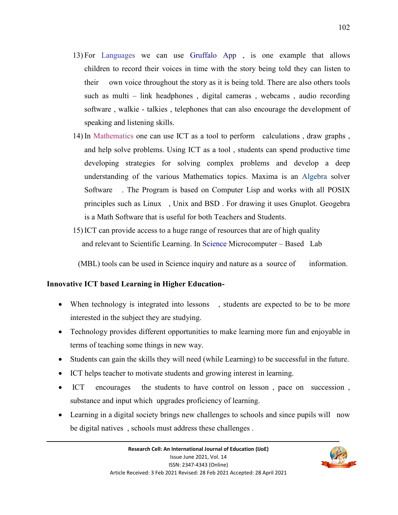- 13) For Languages we can use Gruffalo App , is one example that allows children to record their voices in time with the story being told they can listen to their own voice throughout the story as it is being told. There are also others tools such as multi – link headphones , digital cameras , webcams , audio recording software , walkie - talkies , telephones that can also encourage the development of speaking and listening skills.
- 14) In Mathematics one can use ICT as a tool to perform calculations , draw graphs , and help solve problems. Using ICT as a tool , students can spend productive time developing strategies for solving complex problems and develop a deep understanding of the various Mathematics topics. Maxima is an Algebra solver Software . The Program is based on Computer Lisp and works with all POSIX principles such as Linux , Unix and BSD . For drawing it uses Gnuplot. Geogebra is a Math Software that is useful for both Teachers and Students.
- 15) ICT can provide access to a huge range of resources that are of high quality and relevant to Scientific Learning. In Science Microcomputer – Based Lab

(MBL) tools can be used in Science inquiry and nature as a source of information.

#### **Innovative ICT based Learning in Higher Education-**

- When technology is integrated into lessons, students are expected to be to be more interested in the subject they are studying.
- Technology provides different opportunities to make learning more fun and enjoyable in terms of teaching some things in new way.
- Students can gain the skills they will need (while Learning) to be successful in the future.
- ICT helps teacher to motivate students and growing interest in learning.
- ICT encourages the students to have control on lesson , pace on succession , substance and input which upgrades proficiency of learning.
- Learning in a digital society brings new challenges to schools and since pupils will now be digital natives , schools must address these challenges .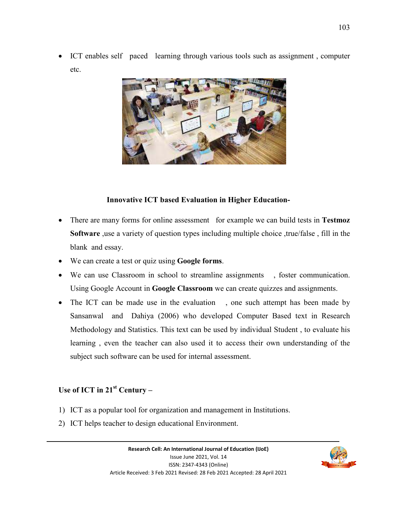ICT enables self paced learning through various tools such as assignment , computer etc.



#### **Innovative ICT based Evaluation in Higher Education-**

- There are many forms for online assessment for example we can build tests in **Testmoz**  Software , use a variety of question types including multiple choice , true/false, fill in the blank and essay.
- We can create a test or quiz using **Google forms**.
- We can use Classroom in school to streamline assignments , foster communication. Using Google Account in **Google Classroom** we can create quizzes and assignments.
- The ICT can be made use in the evaluation , one such attempt has been made by Sansanwal and Dahiya (2006) who developed Computer Based text in Research Methodology and Statistics. This text can be used by individual Student , to evaluate his learning , even the teacher can also used it to access their own understanding of the subject such software can be used for internal assessment.

### **Use of ICT in 21st Century –**

- 1) ICT as a popular tool for organization and management in Institutions.
- 2) ICT helps teacher to design educational Environment.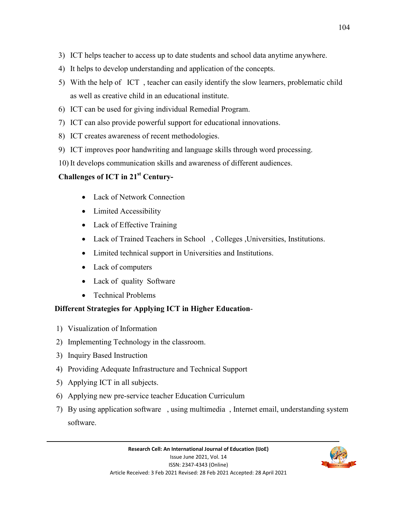- 3) ICT helps teacher to access up to date students and school data anytime anywhere.
- 4) It helps to develop understanding and application of the concepts.
- 5) With the help of ICT , teacher can easily identify the slow learners, problematic child as well as creative child in an educational institute.
- 6) ICT can be used for giving individual Remedial Program.
- 7) ICT can also provide powerful support for educational innovations.
- 8) ICT creates awareness of recent methodologies.
- 9) ICT improves poor handwriting and language skills through word processing.
- 10) It develops communication skills and awareness of different audiences.

# **Challenges of ICT in 21st Century-**

- Lack of Network Connection
- Limited Accessibility
- Lack of Effective Training
- Lack of Trained Teachers in School , Colleges ,Universities, Institutions.
- Limited technical support in Universities and Institutions.
- Lack of computers
- Lack of quality Software
- Technical Problems

## **Different Strategies for Applying ICT in Higher Education**-

- 1) Visualization of Information
- 2) Implementing Technology in the classroom.
- 3) Inquiry Based Instruction
- 4) Providing Adequate Infrastructure and Technical Support
- 5) Applying ICT in all subjects.
- 6) Applying new pre-service teacher Education Curriculum
- 7) By using application software , using multimedia , Internet email, understanding system software.

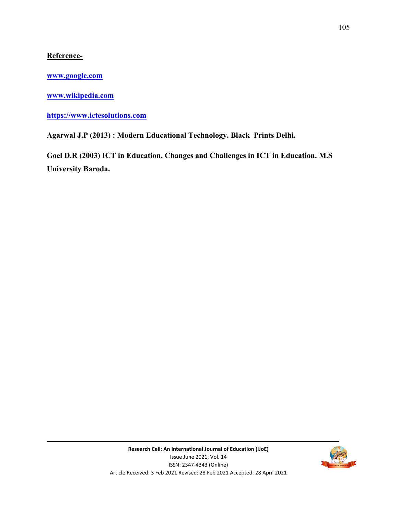#### **Reference-**

**www.google.com**

**www.wikipedia.com**

**https://www.ictesolutions.com**

**Agarwal J.P (2013) : Modern Educational Technology. Black Prints Delhi.** 

**Goel D.R (2003) ICT in Education, Changes and Challenges in ICT in Education. M.S University Baroda.**